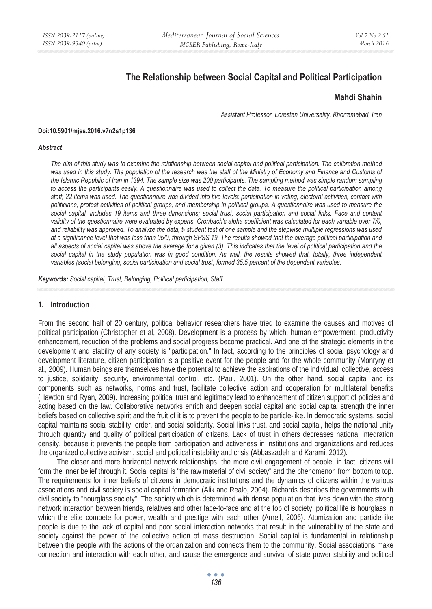# **The Relationship between Social Capital and Political Participation**

## **Mahdi Shahin**

*Assistant Professor, Lorestan Universality, Khorramabad, Iran*

#### **Doi:10.5901/mjss.2016.v7n2s1p136**

#### *Abstract*

*The aim of this study was to examine the relationship between social capital and political participation. The calibration method was used in this study. The population of the research was the staff of the Ministry of Economy and Finance and Customs of the Islamic Republic of Iran in 1394. The sample size was 200 participants. The sampling method was simple random sampling to access the participants easily. A questionnaire was used to collect the data. To measure the political participation among staff, 22 items was used. The questionnaire was divided into five levels: participation in voting, electoral activities, contact with politicians, protest activities of political groups, and membership in political groups. A questionnaire was used to measure the social capital, includes 19 items and three dimensions; social trust, social participation and social links. Face and content validity of the questionnaire were evaluated by experts. Cronbach's alpha coefficient was calculated for each variable over 7/0, and reliability was approved. To analyze the data, t- student test of one sample and the stepwise multiple regressions was used at a significance level that was less than 05/0, through SPSS 19. The results showed that the average political participation and all aspects of social capital was above the average for a given (3). This indicates that the level of political participation and the*  social capital in the study population was in good condition. As well, the results showed that, totally, three independent *variables (social belonging, social participation and social trust) formed 35.5 percent of the dependent variables.* 

*Keywords: Social capital, Trust, Belonging, Political participation, Staff*

### **1. Introduction**

From the second half of 20 century, political behavior researchers have tried to examine the causes and motives of political participation (Christopher et al, 2008). Development is a process by which, human empowerment, productivity enhancement, reduction of the problems and social progress become practical. And one of the strategic elements in the development and stability of any society is "participation." In fact, according to the principles of social psychology and development literature, citizen participation is a positive event for the people and for the whole community (Monryny et al., 2009). Human beings are themselves have the potential to achieve the aspirations of the individual, collective, access to justice, solidarity, security, environmental control, etc. (Paul, 2001). On the other hand, social capital and its components such as networks, norms and trust, facilitate collective action and cooperation for multilateral benefits (Hawdon and Ryan, 2009). Increasing political trust and legitimacy lead to enhancement of citizen support of policies and acting based on the law. Collaborative networks enrich and deepen social capital and social capital strength the inner beliefs based on collective spirit and the fruit of it is to prevent the people to be particle-like. In democratic systems, social capital maintains social stability, order, and social solidarity. Social links trust, and social capital, helps the national unity through quantity and quality of political participation of citizens. Lack of trust in others decreases national integration density, because it prevents the people from participation and activeness in institutions and organizations and reduces the organized collective activism, social and political instability and crisis (Abbaszadeh and Karami, 2012).

The closer and more horizontal network relationships, the more civil engagement of people, in fact, citizens will form the inner belief through it. Social capital is "the raw material of civil society" and the phenomenon from bottom to top. The requirements for inner beliefs of citizens in democratic institutions and the dynamics of citizens within the various associations and civil society is social capital formation (Alik and Realo, 2004). Richards describes the governments with civil society to "hourglass society". The society which is determined with dense population that lives down with the strong network interaction between friends, relatives and other face-to-face and at the top of society, political life is hourglass in which the elite compete for power, wealth and prestige with each other (Arneil, 2006). Atomization and particle-like people is due to the lack of capital and poor social interaction networks that result in the vulnerability of the state and society against the power of the collective action of mass destruction. Social capital is fundamental in relationship between the people with the actions of the organization and connects them to the community. Social associations make connection and interaction with each other, and cause the emergence and survival of state power stability and political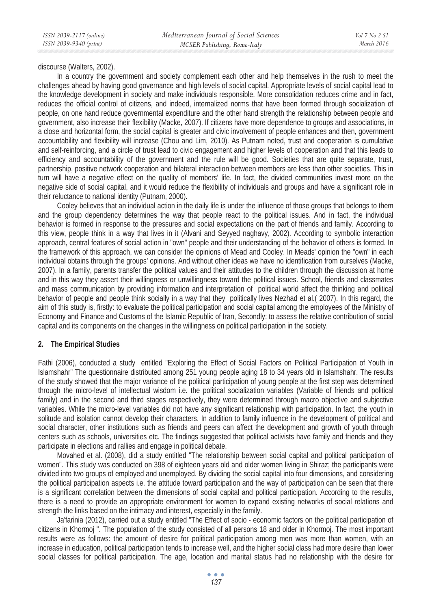discourse (Walters, 2002).

In a country the government and society complement each other and help themselves in the rush to meet the challenges ahead by having good governance and high levels of social capital. Appropriate levels of social capital lead to the knowledge development in society and make individuals responsible. More consolidation reduces crime and in fact, reduces the official control of citizens, and indeed, internalized norms that have been formed through socialization of people, on one hand reduce governmental expenditure and the other hand strength the relationship between people and government, also increase their flexibility (Macke, 2007). If citizens have more dependence to groups and associations, in a close and horizontal form, the social capital is greater and civic involvement of people enhances and then, government accountability and flexibility will increase (Chou and Lim, 2010). As Putnam noted, trust and cooperation is cumulative and self-reinforcing, and a circle of trust lead to civic engagement and higher levels of cooperation and that this leads to efficiency and accountability of the government and the rule will be good. Societies that are quite separate, trust, partnership, positive network cooperation and bilateral interaction between members are less than other societies. This in turn will have a negative effect on the quality of members' life. In fact, the divided communities invest more on the negative side of social capital, and it would reduce the flexibility of individuals and groups and have a significant role in their reluctance to national identity (Putnam, 2000).

Cooley believes that an individual action in the daily life is under the influence of those groups that belongs to them and the group dependency determines the way that people react to the political issues. And in fact, the individual behavior is formed in response to the pressures and social expectations on the part of friends and family. According to this view, people think in a way that lives in it (Alvani and Seyyed naghavy, 2002). According to symbolic interaction approach, central features of social action in "own" people and their understanding of the behavior of others is formed. In the framework of this approach, we can consider the opinions of Mead and Cooley. In Meads' opinion the "own" in each individual obtains through the groups' opinions. And without other ideas we have no identification from ourselves (Macke, 2007). In a family, parents transfer the political values and their attitudes to the children through the discussion at home and in this way they assert their willingness or unwillingness toward the political issues. School, friends and classmates and mass communication by providing information and interpretation of political world affect the thinking and political behavior of people and people think socially in a way that they politically lives Nezhad et al.( 2007). In this regard, the aim of this study is, firstly: to evaluate the political participation and social capital among the employees of the Ministry of Economy and Finance and Customs of the Islamic Republic of Iran, Secondly: to assess the relative contribution of social capital and its components on the changes in the willingness on political participation in the society.

### **2. The Empirical Studies**

Fathi (2006), conducted a study entitled "Exploring the Effect of Social Factors on Political Participation of Youth in Islamshahr" The questionnaire distributed among 251 young people aging 18 to 34 years old in Islamshahr. The results of the study showed that the major variance of the political participation of young people at the first step was determined through the micro-level of intellectual wisdom i.e. the political socialization variables (Variable of friends and political family) and in the second and third stages respectively, they were determined through macro objective and subjective variables. While the micro-level variables did not have any significant relationship with participation. In fact, the youth in solitude and isolation cannot develop their characters. In addition to family influence in the development of political and social character, other institutions such as friends and peers can affect the development and growth of youth through centers such as schools, universities etc. The findings suggested that political activists have family and friends and they participate in elections and rallies and engage in political debate.

Movahed et al. (2008), did a study entitled "The relationship between social capital and political participation of women". This study was conducted on 398 of eighteen years old and older women living in Shiraz; the participants were divided into two groups of employed and unemployed. By dividing the social capital into four dimensions, and considering the political participation aspects i.e. the attitude toward participation and the way of participation can be seen that there is a significant correlation between the dimensions of social capital and political participation. According to the results, there is a need to provide an appropriate environment for women to expand existing networks of social relations and strength the links based on the intimacy and interest, especially in the family.

Ja'farinia (2012), carried out a study entitled "The Effect of socio - economic factors on the political participation of citizens in Khormoj ". The population of the study consisted of all persons 18 and older in Khormoj. The most important results were as follows: the amount of desire for political participation among men was more than women, with an increase in education, political participation tends to increase well, and the higher social class had more desire than lower social classes for political participation. The age, location and marital status had no relationship with the desire for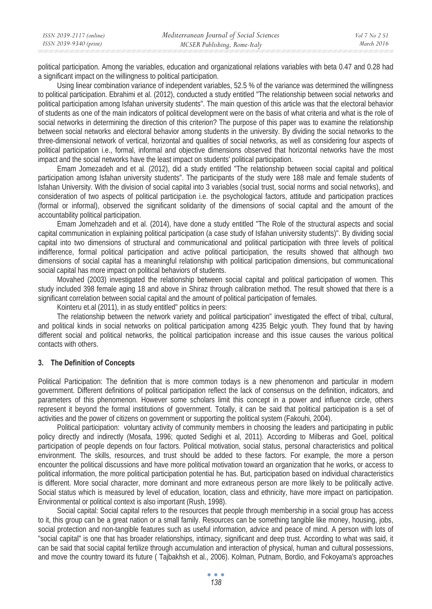| ISSN 2039-2117 (online) | Mediterranean Journal of Social Sciences | Vol 7 No 2 SI |
|-------------------------|------------------------------------------|---------------|
| ISSN 2039-9340 (print)  | MCSER Publishing, Rome-Italy             | March 2016    |

political participation. Among the variables, education and organizational relations variables with beta 0.47 and 0.28 had a significant impact on the willingness to political participation.

Using linear combination variance of independent variables, 52.5 % of the variance was determined the willingness to political participation. Ebrahimi et al. (2012), conducted a study entitled "The relationship between social networks and political participation among Isfahan university students". The main question of this article was that the electoral behavior of students as one of the main indicators of political development were on the basis of what criteria and what is the role of social networks in determining the direction of this criterion? The purpose of this paper was to examine the relationship between social networks and electoral behavior among students in the university. By dividing the social networks to the three-dimensional network of vertical, horizontal and qualities of social networks, as well as considering four aspects of political participation i.e., formal, informal and objective dimensions observed that horizontal networks have the most impact and the social networks have the least impact on students' political participation.

Emam Jomezadeh and et al. (2012), did a study entitled "The relationship between social capital and political participation among Isfahan university students". The participants of the study were 188 male and female students of Isfahan University. With the division of social capital into 3 variables (social trust, social norms and social networks), and consideration of two aspects of political participation i.e. the psychological factors, attitude and participation practices (formal or informal), observed the significant solidarity of the dimensions of social capital and the amount of the accountability political participation.

Emam Jomehzadeh and et al. (2014), have done a study entitled "The Role of the structural aspects and social capital communication in explaining political participation (a case study of Isfahan university students)". By dividing social capital into two dimensions of structural and communicational and political participation with three levels of political indifference, formal political participation and active political participation, the results showed that although two dimensions of social capital has a meaningful relationship with political participation dimensions, but communicational social capital has more impact on political behaviors of students.

Movahed (2003) investigated the relationship between social capital and political participation of women. This study included 398 female aging 18 and above in Shiraz through calibration method. The result showed that there is a significant correlation between social capital and the amount of political participation of females.

Kointeru et.al (2011), in as study entitled" politics in peers:

The relationship between the network variety and political participation" investigated the effect of tribal, cultural, and political kinds in social networks on political participation among 4235 Belgic youth. They found that by having different social and political networks, the political participation increase and this issue causes the various political contacts with others.

#### **3. The Definition of Concepts**

Political Participation: The definition that is more common todays is a new phenomenon and particular in modern government. Different definitions of political participation reflect the lack of consensus on the definition, indicators, and parameters of this phenomenon. However some scholars limit this concept in a power and influence circle, others represent it beyond the formal institutions of government. Totally, it can be said that political participation is a set of activities and the power of citizens on government or supporting the political system (Fakouhi, 2004).

Political participation: voluntary activity of community members in choosing the leaders and participating in public policy directly and indirectly (Mosafa, 1996; quoted Sedighi et al, 2011). According to Milberas and Goel, political participation of people depends on four factors. Political motivation, social status, personal characteristics and political environment. The skills, resources, and trust should be added to these factors. For example, the more a person encounter the political discussions and have more political motivation toward an organization that he works, or access to political information, the more political participation potential he has. But, participation based on individual characteristics is different. More social character, more dominant and more extraneous person are more likely to be politically active. Social status which is measured by level of education, location, class and ethnicity, have more impact on participation. Environmental or political context is also important (Rush, 1998).

Social capital: Social capital refers to the resources that people through membership in a social group has access to it, this group can be a great nation or a small family. Resources can be something tangible like money, housing, jobs, social protection and non-tangible features such as useful information, advice and peace of mind. A person with lots of "social capital" is one that has broader relationships, intimacy, significant and deep trust. According to what was said, it can be said that social capital fertilize through accumulation and interaction of physical, human and cultural possessions, and move the country toward its future ( Tajbakhsh et al., 2006). Kolman, Putnam, Bordio, and Fokoyama's approaches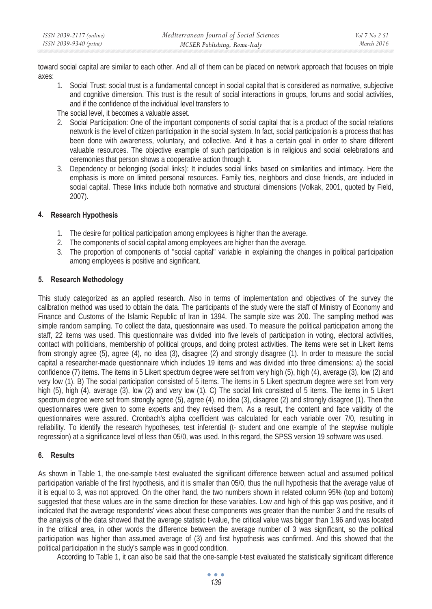toward social capital are similar to each other. And all of them can be placed on network approach that focuses on triple axes:

1. Social Trust: social trust is a fundamental concept in social capital that is considered as normative, subjective and cognitive dimension. This trust is the result of social interactions in groups, forums and social activities, and if the confidence of the individual level transfers to

The social level, it becomes a valuable asset.

- 2. Social Participation: One of the important components of social capital that is a product of the social relations network is the level of citizen participation in the social system. In fact, social participation is a process that has been done with awareness, voluntary, and collective. And it has a certain goal in order to share different valuable resources. The objective example of such participation is in religious and social celebrations and ceremonies that person shows a cooperative action through it.
- 3. Dependency or belonging (social links): It includes social links based on similarities and intimacy. Here the emphasis is more on limited personal resources. Family ties, neighbors and close friends, are included in social capital. These links include both normative and structural dimensions (Volkak, 2001, quoted by Field, 2007).

# **4. Research Hypothesis**

- 1. The desire for political participation among employees is higher than the average.
- 2. The components of social capital among employees are higher than the average.
- 3. The proportion of components of "social capital" variable in explaining the changes in political participation among employees is positive and significant.

# **5. Research Methodology**

This study categorized as an applied research. Also in terms of implementation and objectives of the survey the calibration method was used to obtain the data. The participants of the study were the staff of Ministry of Economy and Finance and Customs of the Islamic Republic of Iran in 1394. The sample size was 200. The sampling method was simple random sampling. To collect the data, questionnaire was used. To measure the political participation among the staff, 22 items was used. This questionnaire was divided into five levels of participation in voting, electoral activities, contact with politicians, membership of political groups, and doing protest activities. The items were set in Likert items from strongly agree (5), agree (4), no idea (3), disagree (2) and strongly disagree (1). In order to measure the social capital a researcher-made questionnaire which includes 19 items and was divided into three dimensions: a) the social confidence (7) items. The items in 5 Likert spectrum degree were set from very high (5), high (4), average (3), low (2) and very low (1). B) The social participation consisted of 5 items. The items in 5 Likert spectrum degree were set from very high (5), high (4), average (3), low (2) and very low (1). C) The social link consisted of 5 items. The items in 5 Likert spectrum degree were set from strongly agree (5), agree (4), no idea (3), disagree (2) and strongly disagree (1). Then the questionnaires were given to some experts and they revised them. As a result, the content and face validity of the questionnaires were assured. Cronbach's alpha coefficient was calculated for each variable over 7/0, resulting in reliability. To identify the research hypotheses, test inferential (t- student and one example of the stepwise multiple regression) at a significance level of less than 05/0, was used. In this regard, the SPSS version 19 software was used.

# **6. Results**

As shown in Table 1, the one-sample t-test evaluated the significant difference between actual and assumed political participation variable of the first hypothesis, and it is smaller than 05/0, thus the null hypothesis that the average value of it is equal to 3, was not approved. On the other hand, the two numbers shown in related column 95% (top and bottom) suggested that these values are in the same direction for these variables. Low and high of this gap was positive, and it indicated that the average respondents' views about these components was greater than the number 3 and the results of the analysis of the data showed that the average statistic t-value, the critical value was bigger than 1.96 and was located in the critical area, in other words the difference between the average number of 3 was significant, so the political participation was higher than assumed average of (3) and first hypothesis was confirmed. And this showed that the political participation in the study's sample was in good condition.

According to Table 1, it can also be said that the one-sample t-test evaluated the statistically significant difference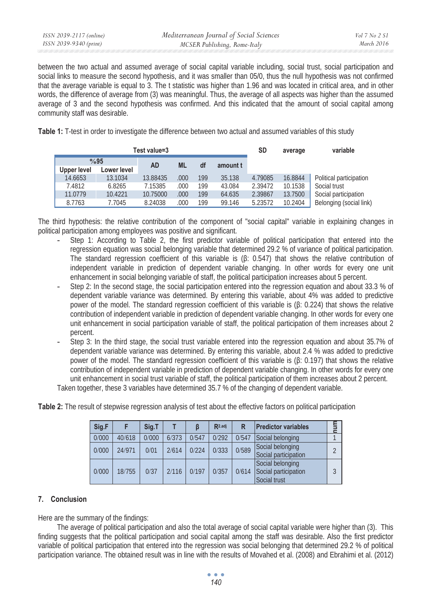between the two actual and assumed average of social capital variable including, social trust, social participation and social links to measure the second hypothesis, and it was smaller than 05/0, thus the null hypothesis was not confirmed that the average variable is equal to 3. The t statistic was higher than 1.96 and was located in critical area, and in other words, the difference of average from (3) was meaningful. Thus, the average of all aspects was higher than the assumed average of 3 and the second hypothesis was confirmed. And this indicated that the amount of social capital among community staff was desirable.

**Table 1:** T-test in order to investigate the difference between two actual and assumed variables of this study

| Test value=3 |             |             |           |       |     |          |         | average | variable                |
|--------------|-------------|-------------|-----------|-------|-----|----------|---------|---------|-------------------------|
|              | %95         |             | <b>AD</b> | ML    | df  | amount t |         |         |                         |
|              | Upper level | Lower level |           |       |     |          |         |         |                         |
|              | 14.6653     | 13.1034     | 13.88435  | .000  | 199 | 35.138   | 4.79085 | 16.8844 | Political participation |
|              | 7.4812      | 6.8265      | 7.15385   | .000. | 199 | 43.084   | 2.39472 | 10.1538 | Social trust            |
|              | 11.0779     | 10.4221     | 10.75000  | .000  | 199 | 64.635   | 2.39867 | 13.7500 | Social participation    |
|              | 8.7763      | 7.7045      | 8.24038   | .000  | 199 | 99.146   | 5.23572 | 10.2404 | Belonging (social link) |

The third hypothesis: the relative contribution of the component of "social capital" variable in explaining changes in political participation among employees was positive and significant.

- Step 1: According to Table 2, the first predictor variable of political participation that entered into the regression equation was social belonging variable that determined 29.2 % of variance of political participation. The standard regression coefficient of this variable is  $(6: 0.547)$  that shows the relative contribution of independent variable in prediction of dependent variable changing. In other words for every one unit enhancement in social belonging variable of staff, the political participation increases about 5 percent.
- Step 2: In the second stage, the social participation entered into the regression equation and about 33.3 % of dependent variable variance was determined. By entering this variable, about 4% was added to predictive power of the model. The standard regression coefficient of this variable is  $(\beta: 0.224)$  that shows the relative contribution of independent variable in prediction of dependent variable changing. In other words for every one unit enhancement in social participation variable of staff, the political participation of them increases about 2 percent.
- Step 3: In the third stage, the social trust variable entered into the regression equation and about 35.7% of dependent variable variance was determined. By entering this variable, about 2.4 % was added to predictive power of the model. The standard regression coefficient of this variable is  $(\beta: 0.197)$  that shows the relative contribution of independent variable in prediction of dependent variable changing. In other words for every one unit enhancement in social trust variable of staff, the political participation of them increases about 2 percent.

Taken together, these 3 variables have determined 35.7 % of the changing of dependent variable.

| Sig.F |        | Sig.T |       |       | R <sub>2.adj</sub> | R     | <b>Predictor variables</b>                               |  |
|-------|--------|-------|-------|-------|--------------------|-------|----------------------------------------------------------|--|
| 0/000 | 40/618 | 0/000 | 6/373 | 0/547 | 0/292              | 0/547 | Social belonging                                         |  |
| 0/000 | 24/971 | 0/01  | 2/614 | 0/224 | 0/333              | 0/589 | Social belonging<br>Social participation                 |  |
| 0/000 | 18/755 | 0/37  | 2/116 | 0/197 | 0/357              | 0/614 | Social belonging<br>Social participation<br>Social trust |  |

**Table 2:** The result of stepwise regression analysis of test about the effective factors on political participation

# **7. Conclusion**

Here are the summary of the findings:

The average of political participation and also the total average of social capital variable were higher than (3). This finding suggests that the political participation and social capital among the staff was desirable. Also the first predictor variable of political participation that entered into the regression was social belonging that determined 29.2 % of political participation variance. The obtained result was in line with the results of Movahed et al. (2008) and Ebrahimi et al. (2012)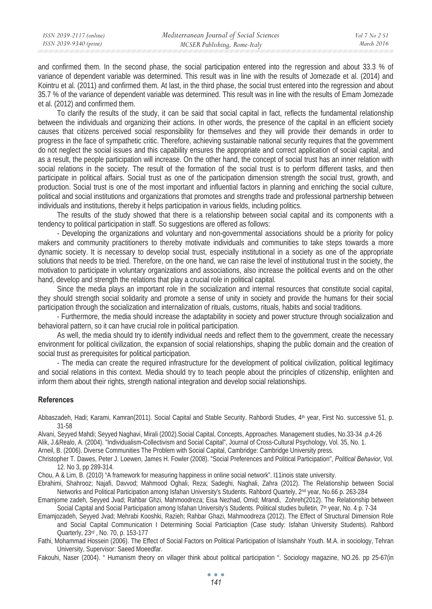and confirmed them. In the second phase, the social participation entered into the regression and about 33.3 % of variance of dependent variable was determined. This result was in line with the results of Jomezade et al. (2014) and Kointru et al. (2011) and confirmed them. At last, in the third phase, the social trust entered into the regression and about 35.7 % of the variance of dependent variable was determined. This result was in line with the results of Emam Jomezade et al. (2012) and confirmed them.

To clarify the results of the study, it can be said that social capital in fact, reflects the fundamental relationship between the individuals and organizing their actions. In other words, the presence of the capital in an efficient society causes that citizens perceived social responsibility for themselves and they will provide their demands in order to progress in the face of sympathetic critic. Therefore, achieving sustainable national security requires that the government do not neglect the social issues and this capability ensures the appropriate and correct application of social capital, and as a result, the people participation will increase. On the other hand, the concept of social trust has an inner relation with social relations in the society. The result of the formation of the social trust is to perform different tasks, and then participate in political affairs. Social trust as one of the participation dimension strength the social trust, growth, and production. Social trust is one of the most important and influential factors in planning and enriching the social culture, political and social institutions and organizations that promotes and strengths trade and professional partnership between individuals and institutions, thereby it helps participation in various fields, including politics.

The results of the study showed that there is a relationship between social capital and its components with a tendency to political participation in staff. So suggestions are offered as follows:

- Developing the organizations and voluntary and non-governmental associations should be a priority for policy makers and community practitioners to thereby motivate individuals and communities to take steps towards a more dynamic society. It is necessary to develop social trust, especially institutional in a society as one of the appropriate solutions that needs to be tried. Therefore, on the one hand, we can raise the level of institutional trust in the society, the motivation to participate in voluntary organizations and associations, also increase the political events and on the other hand, develop and strength the relations that play a crucial role in political capital.

Since the media plays an important role in the socialization and internal resources that constitute social capital, they should strength social solidarity and promote a sense of unity in society and provide the humans for their social participation through the socialization and internalization of rituals, customs, rituals, habits and social traditions.

- Furthermore, the media should increase the adaptability in society and power structure through socialization and behavioral pattern, so it can have crucial role in political participation.

As well, the media should try to identify individual needs and reflect them to the government, create the necessary environment for political civilization, the expansion of social relationships, shaping the public domain and the creation of social trust as prerequisites for political participation.

- The media can create the required infrastructure for the development of political civilization, political legitimacy and social relations in this context. Media should try to teach people about the principles of citizenship, enlighten and inform them about their rights, strength national integration and develop social relationships.

#### **References**

Abbaszadeh, Hadi; Karami, Kamran(2011). Social Capital and Stable Security. Rahbordi Studies, 4th year, First No. successive 51, p. 31-58

Alvani, Seyyed Mahdi; Seyyed Naghavi, Mirali (2002).Social Capital, Concepts, Approaches. Management studies, No.33-34 .p.4-26

Alik, J.&Realo, A. (2004). "Individualism-Collectivism and Social Capital", Journal of Cross-Cultural Psychology, Vol. 35, No. 1.

Arneil, B. (2006). Diverse Communities The Problem with Social Capital, Cambridge: Cambridge University press.

Christopher T. Dawes, Peter J. Loewen, James H. Fowler (2008). "Social Preferences and Political Participation", *Political Behavior*, Vol. 12. No 3, pp 289-314.

Chou, A & Lim, B. (2010) "A framework for measuring happiness in online social network". I11inois state university.

Ebrahimi, Shahrooz; Najafi, Davvod; Mahmood Oghali, Reza; Sadeghi, Naghali, Zahra (2012). The Relationship between Social Networks and Political Participation among Isfahan University's Students. Rahbord Quartely, 2<sup>nd</sup> year, No.66 p. 263-284

Emamjome zadeh, Seyyed Jvad; Rahbar Ghzi, Mahmoodreza; Eisa Nezhad, Omid; Mrandi, Zohreh(2012). The Relationship between Social Capital and Social Participation among Isfahan University's Students. Political studies bulletin, 7<sup>th</sup> year, No. 4 p. 7-34

- Emamjozadeh, Seyyed Jvad; Mehrabi Kooshki, Razieh; Rahbar Ghazi, Mahmoodreza (2012). The Effect of Structural Dimension Role and Social Capital Communication I Determining Social Particiaption (Case study: Isfahan University Students). Rahbord Quarterly, 23rd , No. 70, p. 153-177
- Fathi, Mohammad Hossein (2006). The Effect of Social Factors on Political Participation of Islamshahr Youth. M.A. in sociology, Tehran University, Supervisor: Saeed Moeedfar.

Fakouhi, Naser (2004). " Humanism theory on villager think about political participation ". Sociology magazine, NO.26. pp 25-67(in